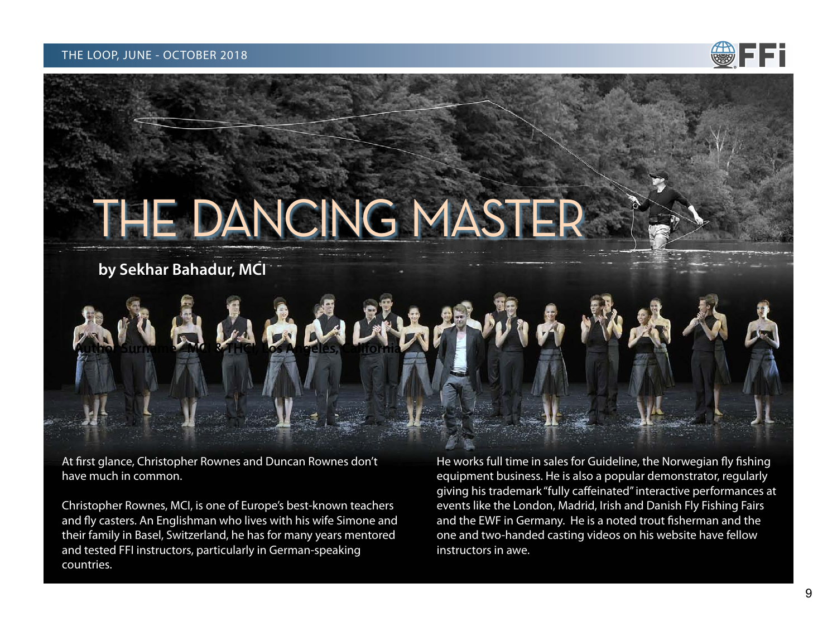

# <span id="page-0-0"></span>THE DANCING MASTER

by Sekhar Bahadur, MCI

At first glance, Christopher Rownes and Duncan Rownes don't have much in common.

Christopher Rownes, MCI, is one of Europe's best-known teachers and fly casters. An Englishman who lives with his wife Simone and their family in Basel, Switzerland, he has for many years mentored and tested FFI instructors, particularly in German-speaking countries.

He works full time in sales for Guideline, the Norwegian fly fishing equipment business. He is also a popular demonstrator, regularly giving his trademark "fully caffeinated" interactive performances at events like the London, Madrid, Irish and Danish Fly Fishing Fairs and the EWF in Germany. He is a noted trout fisherman and the one and two-handed casting videos on his website have fellow instructors in awe.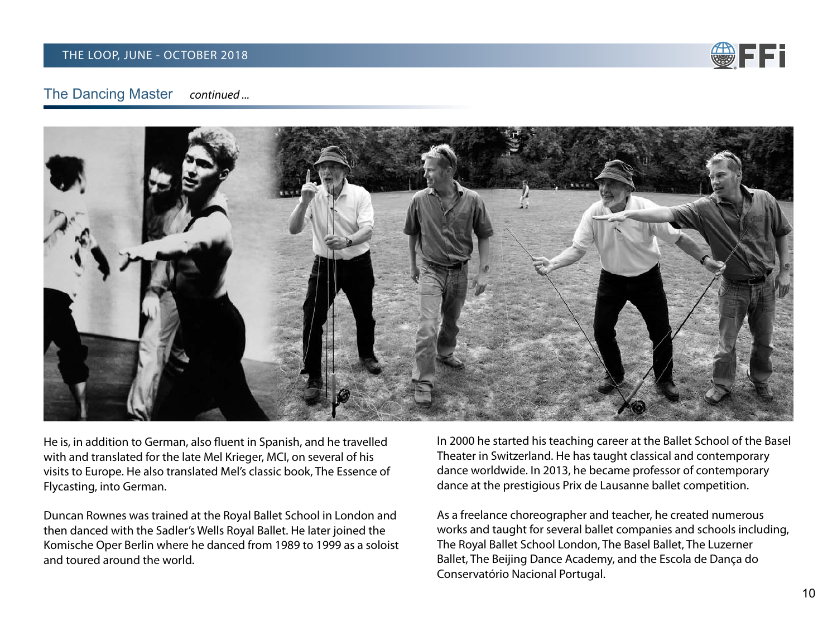

#### **The Dancing Master** continued ...



He is, in addition to German, also fluent in Spanish, and he travelled with and translated for the late Mel Krieger, MCI, on several of his visits to Europe. He also translated Mel's classic book, The Essence of Flycasting, into German.

Duncan Rownes was trained at the Royal Ballet School in London and then danced with the Sadler's Wells Royal Ballet. He later joined the Komische Oper Berlin where he danced from 1989 to 1999 as a soloist and toured around the world.

In 2000 he started his teaching career at the Ballet School of the Basel Theater in Switzerland. He has taught classical and contemporary dance worldwide. In 2013, he became professor of contemporary dance at the prestigious Prix de Lausanne ballet competition.

As a freelance choreographer and teacher, he created numerous works and taught for several ballet companies and schools including, The Royal Ballet School London, The Basel Ballet, The Luzerner Ballet, The Beijing Dance Academy, and the Escola de Dança do Conservatório Nacional Portugal.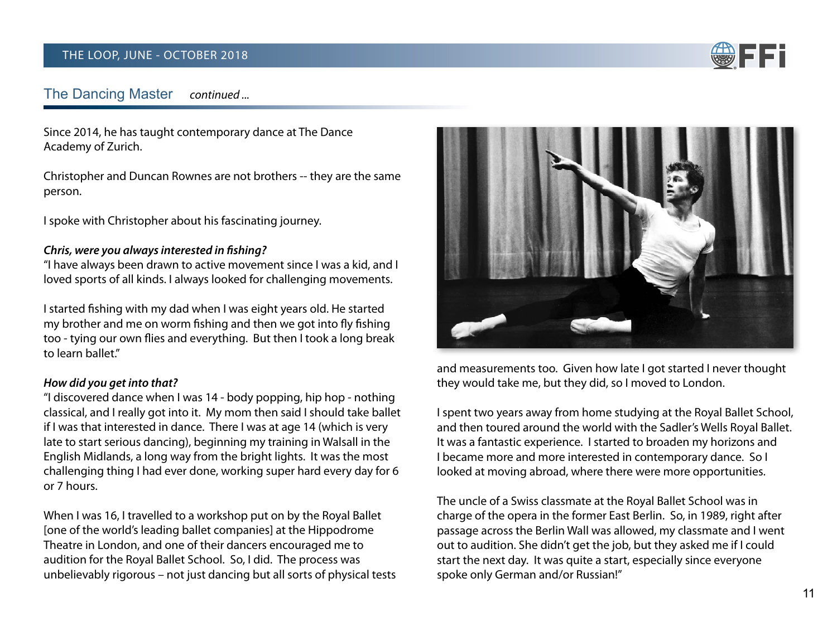

#### **The Dancing Master** continued ...

Since 2014, he has taught contemporary dance at The Dance Academy of Zurich.

Christopher and Duncan Rownes are not brothers -- they are the same person.

I spoke with Christopher about his fascinating journey.

## Chris, were you always interested in fishing?

"I have always been drawn to active movement since I was a kid, and I loved sports of all kinds. I always looked for challenging movements.

I started fishing with my dad when I was eight years old. He started my brother and me on worm fishing and then we got into fly fishing too - tying our own flies and everything. But then I took a long break to learn hallet"

#### How did you get into that?

"I discovered dance when I was 14 - body popping, hip hop - nothing classical, and I really got into it. My mom then said I should take ballet if I was that interested in dance. There I was at age 14 (which is very late to start serious dancing), beginning my training in Walsall in the English Midlands, a long way from the bright lights. It was the most challenging thing I had ever done, working super hard every day for 6 or 7 hours.

When I was 16, I travelled to a workshop put on by the Royal Ballet [one of the world's leading ballet companies] at the Hippodrome Theatre in London, and one of their dancers encouraged me to audition for the Royal Ballet School. So, I did. The process was unbelievably rigorous - not just dancing but all sorts of physical tests



and measurements too. Given how late I got started I never thought they would take me, but they did, so I moved to London.

I spent two years away from home studying at the Royal Ballet School, and then toured around the world with the Sadler's Wells Royal Ballet. It was a fantastic experience. I started to broaden my horizons and I became more and more interested in contemporary dance. So I looked at moving abroad, where there were more opportunities.

The uncle of a Swiss classmate at the Royal Ballet School was in charge of the opera in the former East Berlin. So, in 1989, right after passage across the Berlin Wall was allowed, my classmate and I went out to audition. She didn't get the job, but they asked me if I could start the next day. It was quite a start, especially since everyone spoke only German and/or Russian!"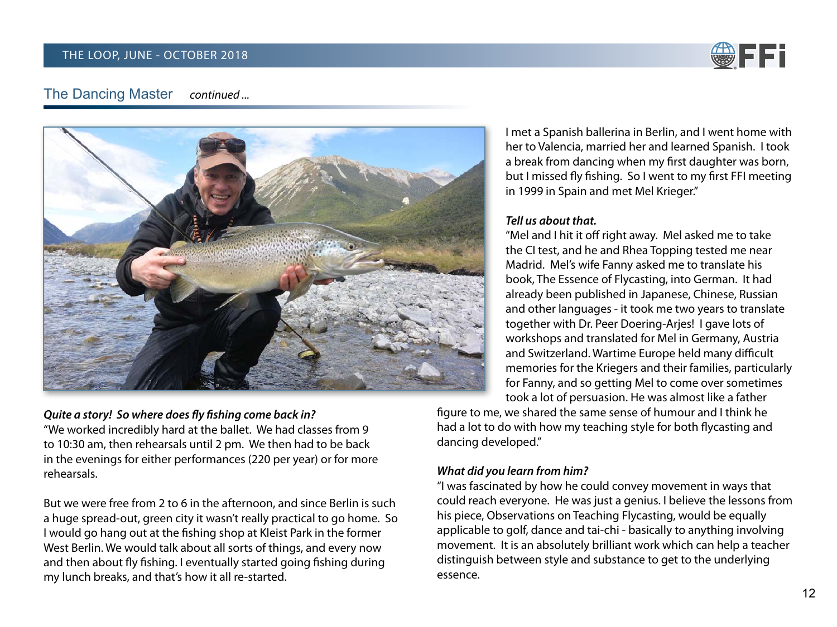

#### **The Dancing Master** continued ...



## Quite a story! So where does fly fishing come back in?

"We worked incredibly hard at the ballet. We had classes from 9 to 10:30 am, then rehearsals until 2 pm. We then had to be back in the evenings for either performances (220 per year) or for more rehearsals.

But we were free from 2 to 6 in the afternoon, and since Berlin is such a huge spread-out, green city it wasn't really practical to go home. So I would go hang out at the fishing shop at Kleist Park in the former West Berlin. We would talk about all sorts of things, and every now and then about fly fishing. I eventually started going fishing during my lunch breaks, and that's how it all re-started.

I met a Spanish ballerina in Berlin, and I went home with her to Valencia, married her and learned Spanish. I took a break from dancing when my first daughter was born, but I missed fly fishing. So I went to my first FFI meeting in 1999 in Spain and met Mel Krieger."

## Tell us about that.

"Mel and I hit it off right away. Mel asked me to take the CI test, and he and Rhea Topping tested me near Madrid. Mel's wife Fanny asked me to translate his book, The Essence of Flycasting, into German. It had already been published in Japanese, Chinese, Russian and other languages - it took me two years to translate together with Dr. Peer Doering-Arjes! I gave lots of workshops and translated for Mel in Germany, Austria and Switzerland. Wartime Europe held many difficult memories for the Kriegers and their families, particularly for Fanny, and so getting Mel to come over sometimes took a lot of persuasion. He was almost like a father

figure to me, we shared the same sense of humour and I think he had a lot to do with how my teaching style for both flycasting and dancing developed."

## What did you learn from him?

"I was fascinated by how he could convey movement in ways that could reach everyone. He was just a genius. I believe the lessons from his piece, Observations on Teaching Flycasting, would be equally applicable to golf, dance and tai-chi - basically to anything involving movement. It is an absolutely brilliant work which can help a teacher distinguish between style and substance to get to the underlying essence.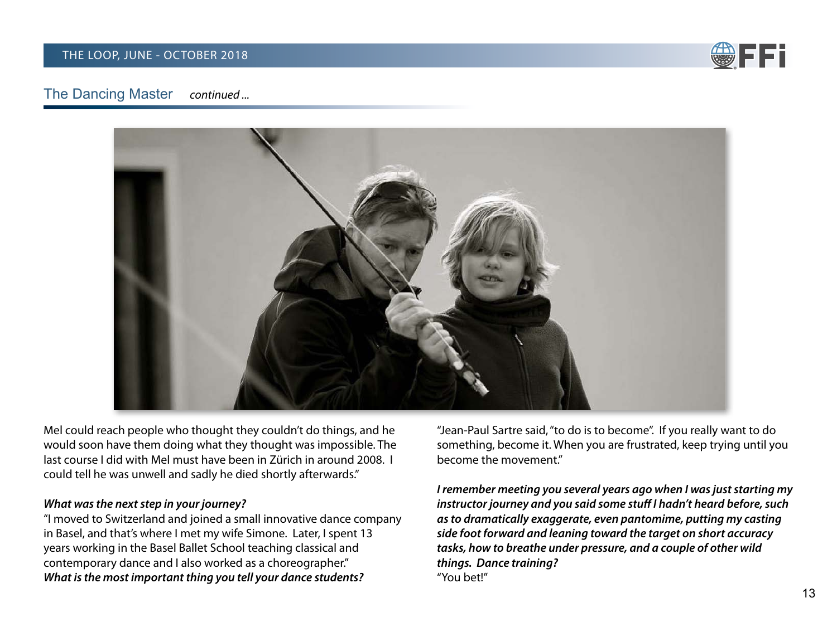

#### **The Dancing Master** continued ...



Mel could reach people who thought they couldn't do things, and he would soon have them doing what they thought was impossible. The last course I did with Mel must have been in Zürich in around 2008. I could tell he was unwell and sadly he died shortly afterwards."

#### What was the next step in your journey?

"I moved to Switzerland and joined a small innovative dance company in Basel, and that's where I met my wife Simone. Later, I spent 13 years working in the Basel Ballet School teaching classical and contemporary dance and I also worked as a choreographer." What is the most important thing you tell your dance students?

"Jean-Paul Sartre said, "to do is to become". If you really want to do something, become it. When you are frustrated, keep trying until you become the movement."

I remember meeting you several years ago when I was just starting my instructor journey and you said some stuff I hadn't heard before, such as to dramatically exaggerate, even pantomime, putting my casting side foot forward and leaning toward the target on short accuracy tasks, how to breathe under pressure, and a couple of other wild things. Dance training? "You bet!"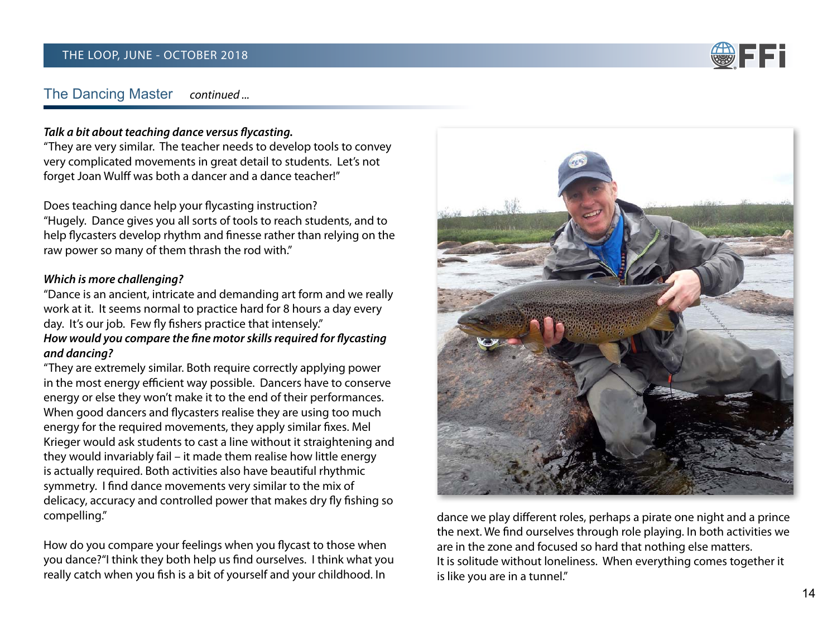

#### **The Dancing Master** continued ...

## Talk a bit about teaching dance versus flycasting.

"They are very similar. The teacher needs to develop tools to convey very complicated movements in great detail to students. Let's not forget Joan Wulff was both a dancer and a dance teacher!"

Does teaching dance help your flycasting instruction? "Hugely. Dance gives you all sorts of tools to reach students, and to help flycasters develop rhythm and finesse rather than relying on the raw power so many of them thrash the rod with."

## Which is more challenging?

"Dance is an ancient, intricate and demanding art form and we really work at it. It seems normal to practice hard for 8 hours a day every day. It's our job. Few fly fishers practice that intensely." How would you compare the fine motor skills required for flycasting and dancing?

"They are extremely similar. Both require correctly applying power in the most energy efficient way possible. Dancers have to conserve energy or else they won't make it to the end of their performances. When good dancers and flycasters realise they are using too much energy for the required movements, they apply similar fixes. Mel Krieger would ask students to cast a line without it straightening and they would invariably fail – it made them realise how little energy is actually required. Both activities also have beautiful rhythmic symmetry. I find dance movements very similar to the mix of delicacy, accuracy and controlled power that makes dry fly fishing so compelling."

How do you compare your feelings when you flycast to those when you dance?" I think they both help us find ourselves. I think what you really catch when you fish is a bit of yourself and your childhood. In



dance we play different roles, perhaps a pirate one night and a prince the next. We find ourselves through role playing. In both activities we are in the zone and focused so hard that nothing else matters. It is solitude without loneliness. When everything comes together it is like you are in a tunnel."